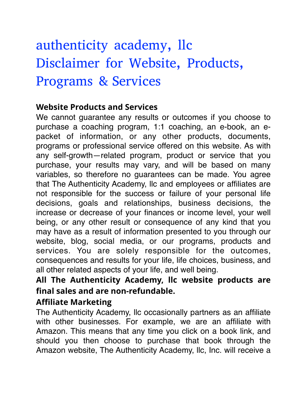# authenticity academy, llc Disclaimer for Website, Products, Programs & Services

# **Website Products and Services**

We cannot guarantee any results or outcomes if you choose to purchase a coaching program, 1:1 coaching, an e-book, an epacket of information, or any other products, documents, programs or professional service offered on this website. As with any self-growth—related program, product or service that you purchase, your results may vary, and will be based on many variables, so therefore no guarantees can be made. You agree that The Authenticity Academy, llc and employees or affiliates are not responsible for the success or failure of your personal life decisions, goals and relationships, business decisions, the increase or decrease of your finances or income level, your well being, or any other result or consequence of any kind that you may have as a result of information presented to you through our website, blog, social media, or our programs, products and services. You are solely responsible for the outcomes, consequences and results for your life, life choices, business, and all other related aspects of your life, and well being.

# **All The Authenticity Academy, llc website products are final sales and are non-refundable.**

# **Affiliate Marketing**

The Authenticity Academy, llc occasionally partners as an affiliate with other businesses. For example, we are an affiliate with Amazon. This means that any time you click on a book link, and should you then choose to purchase that book through the Amazon website, The Authenticity Academy, llc, Inc. will receive a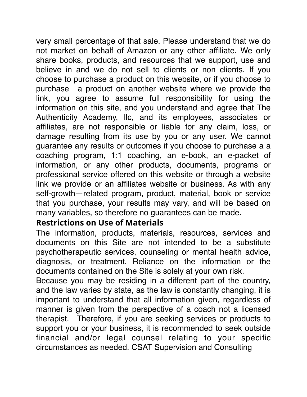very small percentage of that sale. Please understand that we do not market on behalf of Amazon or any other affiliate. We only share books, products, and resources that we support, use and believe in and we do not sell to clients or non clients. If you choose to purchase a product on this website, or if you choose to purchase a product on another website where we provide the link, you agree to assume full responsibility for using the information on this site, and you understand and agree that The Authenticity Academy, llc, and its employees, associates or affiliates, are not responsible or liable for any claim, loss, or damage resulting from its use by you or any user. We cannot guarantee any results or outcomes if you choose to purchase a a coaching program, 1:1 coaching, an e-book, an e-packet of information, or any other products, documents, programs or professional service offered on this website or through a website link we provide or an affiliates website or business. As with any self-growth—related program, product, material, book or service that you purchase, your results may vary, and will be based on many variables, so therefore no guarantees can be made.

# **Restrictions on Use of Materials**

The information, products, materials, resources, services and documents on this Site are not intended to be a substitute psychotherapeutic services, counseling or mental health advice, diagnosis, or treatment. Reliance on the information or the documents contained on the Site is solely at your own risk.

Because you may be residing in a different part of the country, and the law varies by state, as the law is constantly changing, it is important to understand that all information given, regardless of manner is given from the perspective of a coach not a licensed therapist. Therefore, if you are seeking services or products to support you or your business, it is recommended to seek outside financial and/or legal counsel relating to your specific circumstances as needed. CSAT Supervision and Consulting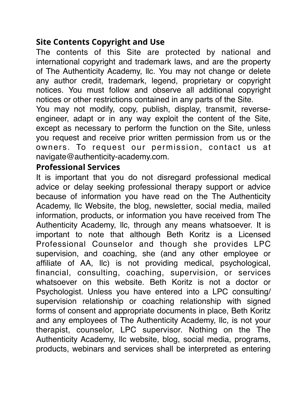# **Site Contents Copyright and Use**

The contents of this Site are protected by national and international copyright and trademark laws, and are the property of The Authenticity Academy, llc. You may not change or delete any author credit, trademark, legend, proprietary or copyright notices. You must follow and observe all additional copyright notices or other restrictions contained in any parts of the Site.

You may not modify, copy, publish, display, transmit, reverseengineer, adapt or in any way exploit the content of the Site, except as necessary to perform the function on the Site, unless you request and receive prior written permission from us or the owners. To request our permission, contact us at navigate@authenticity-academy.com.

#### **Professional Services**

It is important that you do not disregard professional medical advice or delay seeking professional therapy support or advice because of information you have read on the The Authenticity Academy, llc Website, the blog, newsletter, social media, mailed information, products, or information you have received from The Authenticity Academy, llc, through any means whatsoever. It is important to note that although Beth Koritz is a Licensed Professional Counselor and though she provides LPC supervision, and coaching, she (and any other employee or affiliate of AA, llc) is not providing medical, psychological, financial, consulting, coaching, supervision, or services whatsoever on this website. Beth Koritz is not a doctor or Psychologist. Unless you have entered into a LPC consulting/ supervision relationship or coaching relationship with signed forms of consent and appropriate documents in place, Beth Koritz and any employees of The Authenticity Academy, llc, is not your therapist, counselor, LPC supervisor. Nothing on the The Authenticity Academy, llc website, blog, social media, programs, products, webinars and services shall be interpreted as entering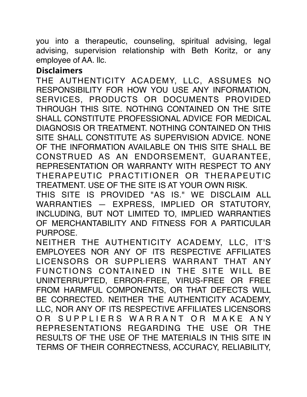you into a therapeutic, counseling, spiritual advising, legal advising, supervision relationship with Beth Koritz, or any employee of AA. llc.

# **Disclaimers**

THE AUTHENTICITY ACADEMY, LLC, ASSUMES NO RESPONSIBILITY FOR HOW YOU USE ANY INFORMATION, SERVICES, PRODUCTS OR DOCUMENTS PROVIDED THROUGH THIS SITE. NOTHING CONTAINED ON THE SITE SHALL CONSTITUTE PROFESSIONAL ADVICE FOR MEDICAL DIAGNOSIS OR TREATMENT. NOTHING CONTAINED ON THIS SITE SHALL CONSTITUTE AS SUPERVISION ADVICE. NONE OF THE INFORMATION AVAILABLE ON THIS SITE SHALL BE CONSTRUED AS AN ENDORSEMENT, GUARANTEE, REPRESENTATION OR WARRANTY WITH RESPECT TO ANY THERAPEUTIC PRACTITIONER OR THERAPEUTIC TREATMENT. USE OF THE SITE IS AT YOUR OWN RISK.

THIS SITE IS PROVIDED "AS IS." WE DISCLAIM ALL WARRANTIES — EXPRESS, IMPLIED OR STATUTORY, INCLUDING, BUT NOT LIMITED TO, IMPLIED WARRANTIES OF MERCHANTABILITY AND FITNESS FOR A PARTICULAR PURPOSE.

NEITHER THE AUTHENTICITY ACADEMY, LLC, IT'S EMPLOYEES NOR ANY OF ITS RESPECTIVE AFFILIATES LICENSORS OR SUPPLIERS WARRANT THAT ANY FUNCTIONS CONTAINED IN THE SITE WILL BE UNINTERRUPTED, ERROR-FREE, VIRUS-FREE OR FREE FROM HARMFUL COMPONENTS, OR THAT DEFECTS WILL BE CORRECTED. NEITHER THE AUTHENTICITY ACADEMY, LLC, NOR ANY OF ITS RESPECTIVE AFFILIATES LICENSORS OR SUPPLIERS WARRANT OR MAKE ANY REPRESENTATIONS REGARDING THE USE OR THE RESULTS OF THE USE OF THE MATERIALS IN THIS SITE IN TERMS OF THEIR CORRECTNESS, ACCURACY, RELIABILITY,